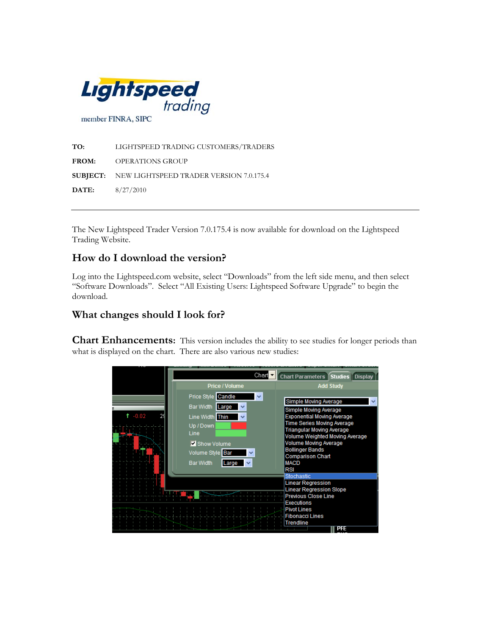

**TO:** LIGHTSPEED TRADING CUSTOMERS/TRADERS **FROM:** OPERATIONS GROUP **SUBJECT:** NEW LIGHTSPEED TRADER VERSION 7.0.175.4 **DATE:** 8/27/2010

The New Lightspeed Trader Version 7.0.175.4 is now available for download on the Lightspeed Trading Website.

### **How do I download the version?**

Log into the Lightspeed.com website, select "Downloads" from the left side menu, and then select "Software Downloads". Select "All Existing Users: Lightspeed Software Upgrade" to begin the download.

#### **What changes should I look for?**

**Chart Enhancements:** This version includes the ability to see studies for longer periods than what is displayed on the chart. There are also various new studies:

|               | Chart                                                                                                                              | <b>Chart Parameters</b><br><b>Studies</b><br><b>Display</b>                                                                                                                                                                                                                         |  |  |  |
|---------------|------------------------------------------------------------------------------------------------------------------------------------|-------------------------------------------------------------------------------------------------------------------------------------------------------------------------------------------------------------------------------------------------------------------------------------|--|--|--|
|               | Price / Volume                                                                                                                     | <b>Add Study</b>                                                                                                                                                                                                                                                                    |  |  |  |
| $-0.02$<br>24 | Candle<br>Price Style<br><b>Bar Width</b><br>Large<br>Line Width Thin<br>v<br>Up / Down<br>Line<br>Show Volume<br>Volume Style Bar | Simple Moving Average<br>Simple Moving Average<br><b>Exponential Moving Average</b><br><b>Time Series Moving Average</b><br><b>Triangular Moving Average</b><br>Volume Weighted Moving Average<br><b>Volume Moving Average</b><br><b>Bollinger Bands</b><br><b>Comparison Chart</b> |  |  |  |
|               | <b>Bar Width</b><br>Large                                                                                                          | <b>MACD</b><br><b>RSI</b>                                                                                                                                                                                                                                                           |  |  |  |
|               |                                                                                                                                    | Stochastic<br><b>Linear Regression</b>                                                                                                                                                                                                                                              |  |  |  |
|               |                                                                                                                                    | <b>Linear Regression Slope</b><br><b>Previous Close Line</b>                                                                                                                                                                                                                        |  |  |  |
|               |                                                                                                                                    | <b>Executions</b>                                                                                                                                                                                                                                                                   |  |  |  |
|               |                                                                                                                                    | <b>Pivot Lines</b><br><b>Fibonacci Lines</b>                                                                                                                                                                                                                                        |  |  |  |
|               |                                                                                                                                    | Trendline<br><b>PFE</b>                                                                                                                                                                                                                                                             |  |  |  |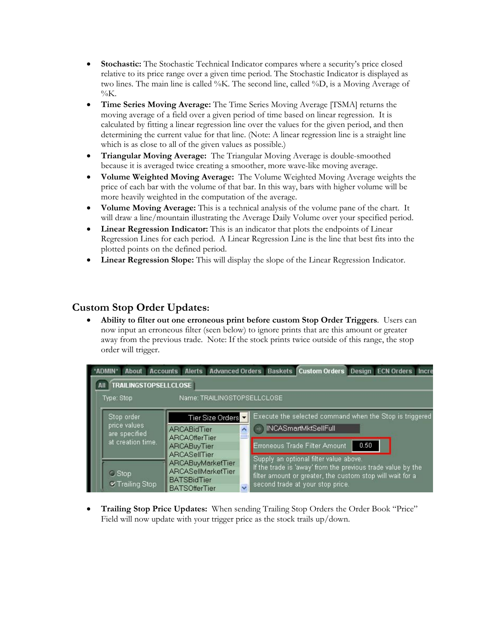- **Stochastic:** The Stochastic Technical Indicator compares where a security's price closed relative to its price range over a given time period. The Stochastic Indicator is displayed as two lines. The main line is called %K. The second line, called %D, is a Moving Average of  $\%K$ .
- **Time Series Moving Average:** The Time Series Moving Average [TSMA] returns the moving average of a field over a given period of time based on linear regression. It is calculated by fitting a linear regression line over the values for the given period, and then determining the current value for that line. (Note: A linear regression line is a straight line which is as close to all of the given values as possible.)
- **Triangular Moving Average:** The Triangular Moving Average is double-smoothed because it is averaged twice creating a smoother, more wave-like moving average.
- **Volume Weighted Moving Average:** The Volume Weighted Moving Average weights the price of each bar with the volume of that bar. In this way, bars with higher volume will be more heavily weighted in the computation of the average.
- **Volume Moving Average:** This is a technical analysis of the volume pane of the chart. It will draw a line/mountain illustrating the Average Daily Volume over your specified period.
- **Linear Regression Indicator:** This is an indicator that plots the endpoints of Linear Regression Lines for each period. A Linear Regression Line is the line that best fits into the plotted points on the defined period.
- **Linear Regression Slope:** This will display the slope of the Linear Regression Indicator.

#### **Custom Stop Order Updates:**

• **Ability to filter out one erroneous print before custom Stop Order Triggers**. Users can now input an erroneous filter (seen below) to ignore prints that are this amount or greater away from the previous trade. Note: If the stock prints twice outside of this range, the stop order will trigger.

| <b><i>ADMIN</i></b><br>About  | Accounts Alerts Advanced Orders Baskets Custom Orders Design ECN Orders Incre |                          |                                                                                                       |                                                           |      |  |  |  |  |  |  |
|-------------------------------|-------------------------------------------------------------------------------|--------------------------|-------------------------------------------------------------------------------------------------------|-----------------------------------------------------------|------|--|--|--|--|--|--|
| <b>TRAILINGSTOPSELLCLOSE</b>  |                                                                               |                          |                                                                                                       |                                                           |      |  |  |  |  |  |  |
| Type: Stop                    | Name: TRAILINGSTOPSELLCLOSE                                                   |                          |                                                                                                       |                                                           |      |  |  |  |  |  |  |
| Stop order                    | Tier Size Orders                                                              |                          | Execute the selected command when the Stop is triggered                                               |                                                           |      |  |  |  |  |  |  |
| price values<br>are specified | ARCABidTier<br><b>ARCAOfferTier</b>                                           | $\overline{\phantom{a}}$ |                                                                                                       | <b>INCASmartMktSellFull</b>                               |      |  |  |  |  |  |  |
| at creation time.             | <b>ARCABuyTier</b>                                                            |                          |                                                                                                       | Erroneous Trade Filter Amount                             | 0.50 |  |  |  |  |  |  |
|                               | <b>ARCASellTier</b><br>ARCABuyMarketTier                                      |                          | Supply an optional filter value above.<br>If the trade is 'away' from the previous trade value by the |                                                           |      |  |  |  |  |  |  |
| <b>C</b> Stop                 | ARCASellMarketTier<br><b>BATSBidTier</b>                                      |                          |                                                                                                       | filter amount or greater, the custom stop will wait for a |      |  |  |  |  |  |  |
| <b></b> Trailing Stop         | <b>BATSOfferTier</b>                                                          | $\ddot{\phantom{1}}$     | second trade at your stop price.                                                                      |                                                           |      |  |  |  |  |  |  |

• **Trailing Stop Price Updates:** When sending Trailing Stop Orders the Order Book "Price" Field will now update with your trigger price as the stock trails up/down.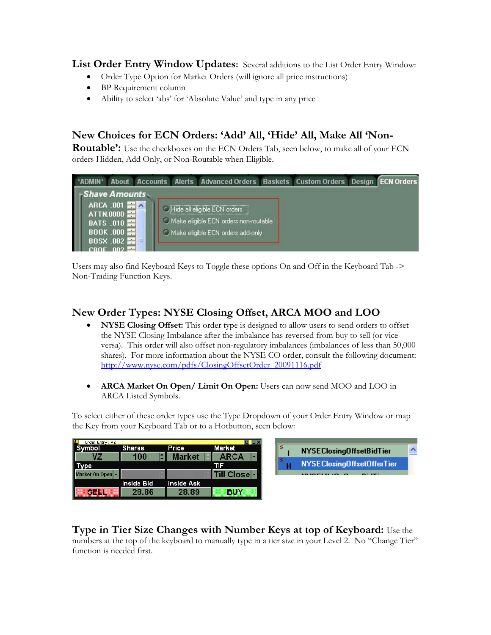**List Order Entry Window Updates:** Several additions to the List Order Entry Window:

- Order Type Option for Market Orders (will ignore all price instructions)
- BP Requirement column
- Ability to select 'abs' for 'Absolute Value' and type in any price

# **New Choices for ECN Orders: 'Add' All, 'Hide' All, Make All 'Non-**

**Routable':** Use the checkboxes on the ECN Orders Tab, seen below, to make all of your ECN orders Hidden, Add Only, or Non-Routable when Eligible.



Users may also find Keyboard Keys to Toggle these options On and Off in the Keyboard Tab -> Non-Trading Function Keys.

## **New Order Types: NYSE Closing Offset, ARCA MOO and LOO**

- **NYSE Closing Offset:** This order type is designed to allow users to send orders to offset the NYSE Closing Imbalance after the imbalance has reversed from buy to sell (or vice versa). This order will also offset non-regulatory imbalances (imbalances of less than 50,000 shares). For more information about the NYSE CO order, consult the following document: [http://www.nyse.com/pdfs/ClosingOffsetOrder\\_20091116.pdf](http://www.nyse.com/pdfs/ClosingOffsetOrder_20091116.pdf)
- **ARCA Market On Open/ Limit On Open:** Users can now send MOO and LOO in ARCA Listed Symbols.

To select either of these order types use the Type Dropdown of your Order Entry Window or map the Key from your Keyboard Tab or to a Hotbutton, seen below:

| Œ<br>Order Entry: VZ |               |               |              |
|----------------------|---------------|---------------|--------------|
| nbol                 | <b>Shares</b> | Price         | Market       |
|                      | 100           | <b>Market</b> | ARCA         |
| <b>Type</b>          |               |               | TF           |
| Market On Open -     |               |               | Till Close - |
|                      | Inside Bid    | Inside Ask    |              |
| 885                  | 28.86         | 28.89         | <b>BUY</b>   |

### **Type in Tier Size Changes with Number Keys at top of Keyboard:** Use the

numbers at the top of the keyboard to manually type in a tier size in your Level 2. No "Change Tier" function is needed first.